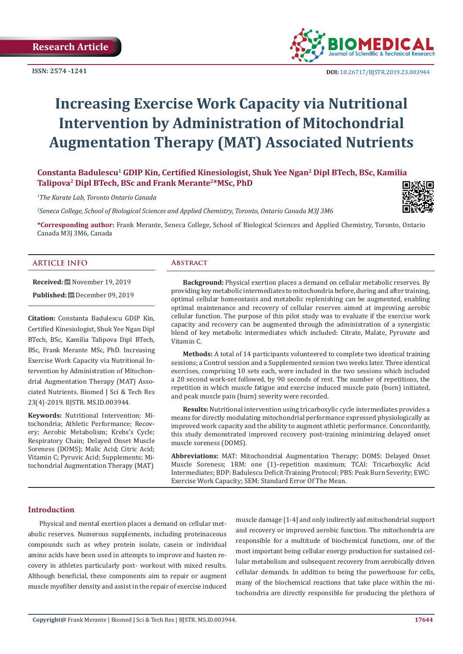

# **Increasing Exercise Work Capacity via Nutritional Intervention by Administration of Mitochondrial Augmentation Therapy (MAT) Associated Nutrients**

# **Constanta Badulescu1 GDIP Kin, Certified Kinesiologist, Shuk Yee Ngan2 Dipl BTech, BSc, Kamilia**  Talipova<sup>2</sup> Dipl BTech, BSc and Frank Merante<sup>2\*</sup>MSc, PhD

*1 The Karate Lab, Toronto Ontario Canada*

*2 Seneca College, School of Biological Sciences and Applied Chemistry, Toronto, Ontario Canada M3J 3M6*



**\*Corresponding author:** Frank Merante, Seneca College, School of Biological Sciences and Applied Chemistry, Toronto, Ontario Canada M3J 3M6, Canada

#### **ARTICLE INFO Abstract**

**Received:** November 19, 2019 Published: **□** December 09, 2019

**Citation:** Constanta Badulescu GDIP Kin, Certified Kinesiologist, Shuk Yee Ngan Dipl BTech, BSc, Kamilia Talipova Dipl BTech, BSc, Frank Merante MSc, PhD. Increasing Exercise Work Capacity via Nutritional Intervention by Administration of Mitochondrial Augmentation Therapy (MAT) Associated Nutrients. Biomed J Sci & Tech Res 23(4)-2019. BJSTR. MS.ID.003944.

**Keywords:** Nutritional Intervention; Mitochondria; Athletic Performance; Recovery; Aerobic Metabolism; Krebs's Cycle; Respiratory Chain; Delayed Onset Muscle Soreness (DOMS); Malic Acid; Citric Acid; Vitamin C; Pyruvic Acid; Supplements; Mitochondrial Augmentation Therapy (MAT)

**Background:** Physical exertion places a demand on cellular metabolic reserves. By providing key metabolic intermediates to mitochondria before, during and after training, optimal cellular homeostasis and metabolic replenishing can be augmented, enabling optimal maintenance and recovery of cellular reserves aimed at improving aerobic cellular function. The purpose of this pilot study was to evaluate if the exercise work capacity and recovery can be augmented through the administration of a synergistic blend of key metabolic intermediates which included: Citrate, Malate, Pyruvate and Vitamin C.

**Methods:** A total of 14 participants volunteered to complete two identical training sessions; a Control session and a Supplemented session two weeks later. Three identical exercises, comprising 10 sets each, were included in the two sessions which included a 20 second work-set followed, by 90 seconds of rest. The number of repetitions, the repetition in which muscle fatigue and exercise induced muscle pain (burn) initiated, and peak muscle pain (burn) severity were recorded.

**Results:** Nutritional intervention using tricarboxylic cycle intermediates provides a means for directly modulating mitochondrial performance expressed physiologically as improved work capacity and the ability to augment athletic performance. Concordantly, this study demonstrated improved recovery post-training minimizing delayed onset muscle soreness (DOMS).

**Abbreviations:** MAT: Mitochondrial Augmentation Therapy; DOMS: Delayed Onset Muscle Soreness; 1RM: one (1)–repetition maximum; TCAI: Tricarboxylic Acid Intermediates; BDP: Badulescu Deficit-Training Protocol; PBS: Peak Burn Severity; EWC: Exercise Work Capacity; SEM: Standard Error Of The Mean.

# **Introduction**

Physical and mental exertion places a demand on cellular metabolic reserves. Numerous supplements, including proteinaceous compounds such as whey protein isolate, casein or individual amino acids have been used in attempts to improve and hasten recovery in athletes particularly post- workout with mixed results. Although beneficial, these components aim to repair or augment muscle myofiber density and assist in the repair of exercise induced

muscle damage [1-4] and only indirectly aid mitochondrial support and recovery or improved aerobic function. The mitochondria are responsible for a multitude of biochemical functions, one of the most important being cellular energy production for sustained cellular metabolism and subsequent recovery from aerobically driven cellular demands. In addition to being the powerhouse for cells, many of the biochemical reactions that take place within the mitochondria are directly responsible for producing the plethora of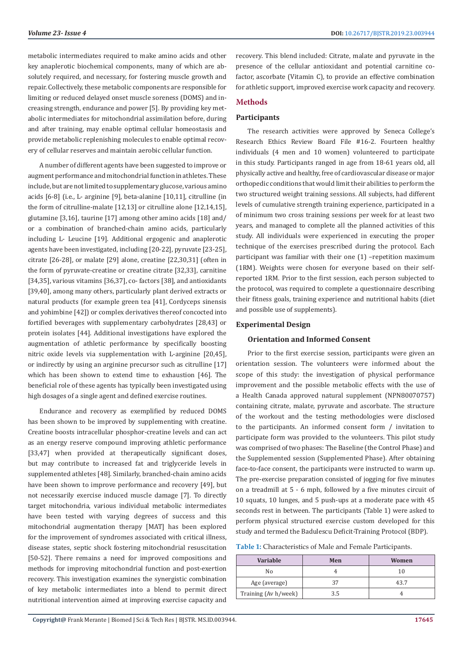metabolic intermediates required to make amino acids and other key anaplerotic biochemical components, many of which are absolutely required, and necessary, for fostering muscle growth and repair. Collectively, these metabolic components are responsible for limiting or reduced delayed onset muscle soreness (DOMS) and increasing strength, endurance and power [5]. By providing key metabolic intermediates for mitochondrial assimilation before, during and after training, may enable optimal cellular homeostasis and provide metabolic replenishing molecules to enable optimal recovery of cellular reserves and maintain aerobic cellular function.

A number of different agents have been suggested to improve or augment performance and mitochondrial function in athletes. These include, but are not limited to supplementary glucose, various amino acids [6-8] (i.e., L- arginine [9], beta-alanine [10,11], citrulline (in the form of citrulline-malate [12,13] or citrulline alone [12,14,15], glutamine [3,16], taurine [17] among other amino acids [18] and/ or a combination of branched-chain amino acids, particularly including L- Leucine [19]. Additional ergogenic and anaplerotic agents have been investigated, including [20-22], pyruvate [23-25], citrate [26-28], or malate [29] alone, creatine [22,30,31] (often in the form of pyruvate-creatine or creatine citrate [32,33], carnitine [34,35], various vitamins [36,37], co- factors [38], and antioxidants [39,40], among many others, particularly plant derived extracts or natural products (for example green tea [41], Cordyceps sinensis and yohimbine [42]) or complex derivatives thereof concocted into fortified beverages with supplementary carbohydrates [28,43] or protein isolates [44]. Additional investigations have explored the augmentation of athletic performance by specifically boosting nitric oxide levels via supplementation with L-arginine [20,45], or indirectly by using an arginine precursor such as citrulline [17] which has been shown to extend time to exhaustion [46]. The beneficial role of these agents has typically been investigated using high dosages of a single agent and defined exercise routines.

Endurance and recovery as exemplified by reduced DOMS has been shown to be improved by supplementing with creatine. Creatine boosts intracellular phosphor-creatine levels and can act as an energy reserve compound improving athletic performance [33,47] when provided at therapeutically significant doses, but may contribute to increased fat and triglyceride levels in supplemented athletes [48]. Similarly, branched-chain amino acids have been shown to improve performance and recovery [49], but not necessarily exercise induced muscle damage [7]. To directly target mitochondria, various individual metabolic intermediates have been tested with varying degrees of success and this mitochondrial augmentation therapy [MAT] has been explored for the improvement of syndromes associated with critical illness, disease states, septic shock fostering mitochondrial resuscitation [50-52]. There remains a need for improved compositions and methods for improving mitochondrial function and post-exertion recovery. This investigation examines the synergistic combination of key metabolic intermediates into a blend to permit direct nutritional intervention aimed at improving exercise capacity and

recovery. This blend included: Citrate, malate and pyruvate in the presence of the cellular antioxidant and potential carnitine cofactor, ascorbate (Vitamin C), to provide an effective combination for athletic support, improved exercise work capacity and recovery.

# **Methods**

# **Participants**

The research activities were approved by Seneca College's Research Ethics Review Board File #16-2. Fourteen healthy individuals (4 men and 10 women) volunteered to participate in this study. Participants ranged in age from 18-61 years old, all physically active and healthy, free of cardiovascular disease or major orthopedic conditions that would limit their abilities to perform the two structured weight training sessions. All subjects, had different levels of cumulative strength training experience, participated in a of minimum two cross training sessions per week for at least two years, and managed to complete all the planned activities of this study. All individuals were experienced in executing the proper technique of the exercises prescribed during the protocol. Each participant was familiar with their one (1) –repetition maximum (1RM). Weights were chosen for everyone based on their selfreported 1RM. Prior to the first session, each person subjected to the protocol, was required to complete a questionnaire describing their fitness goals, training experience and nutritional habits (diet and possible use of supplements).

## **Experimental Design**

### **Orientation and Informed Consent**

Prior to the first exercise session, participants were given an orientation session. The volunteers were informed about the scope of this study: the investigation of physical performance improvement and the possible metabolic effects with the use of a Health Canada approved natural supplement (NPN80070757) containing citrate, malate, pyruvate and ascorbate. The structure of the workout and the testing methodologies were disclosed to the participants. An informed consent form / invitation to participate form was provided to the volunteers. This pilot study was comprised of two phases: The Baseline (the Control Phase) and the Supplemented session (Supplemented Phase). After obtaining face-to-face consent, the participants were instructed to warm up. The pre-exercise preparation consisted of jogging for five minutes on a treadmill at 5 - 6 mph, followed by a five minutes circuit of 10 squats, 10 lunges, and 5 push-ups at a moderate pace with 45 seconds rest in between. The participants (Table 1) were asked to perform physical structured exercise custom developed for this study and termed the Badulescu Deficit-Training Protocol (BDP).

| <b>Table 1:</b> Characteristics of Male and Female Participants. |  |
|------------------------------------------------------------------|--|
|------------------------------------------------------------------|--|

| <b>Variable</b>      | Men | Women |
|----------------------|-----|-------|
| No                   |     | 10    |
| Age (average)        |     | 43.7  |
| Training (Av h/week) | 3 5 |       |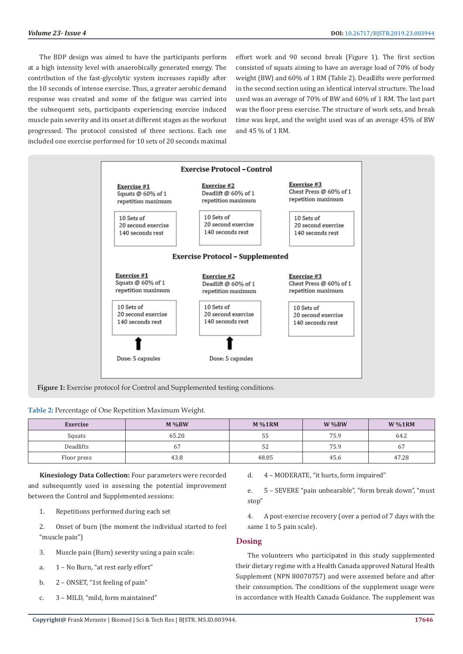The BDP design was aimed to have the participants perform at a high intensity level with anaerobically generated energy. The contribution of the fast-glycolytic system increases rapidly after the 10 seconds of intense exercise. Thus, a greater aerobic demand response was created and some of the fatigue was carried into the subsequent sets, participants experiencing exercise induced muscle pain severity and its onset at different stages as the workout progressed. The protocol consisted of three sections. Each one included one exercise performed for 10 sets of 20 seconds maximal

effort work and 90 second break (Figure 1). The first section consisted of squats aiming to have an average load of 70% of body weight (BW) and 60% of 1 RM (Table 2). Deadlifts were performed in the second section using an identical interval structure. The load used was an average of 70% of BW and 60% of 1 RM. The last part was the floor press exercise. The structure of work sets, and break time was kept, and the weight used was of an average 45% of BW and 45 % of 1 RM.



Figure 1: Exercise protocol for Control and Supplemented testing conditions.

**Table 2:** Percentage of One Repetition Maximum Weight.

| Exercise    | $M\%BW$ | $M\%1RM$ | $W\%BW$ | $W\%1RM$       |
|-------------|---------|----------|---------|----------------|
| Squats      | 65.20   | ჂჂ       | 75.9    | 64.2           |
| Deadlifts   | 67      | ЭZ       | 75.9    | 6 <sub>l</sub> |
| Floor press | 43.8    | 48.05    | 45.6    | 47.28          |

**Kinesiology Data Collection:** Four parameters were recorded and subsequently used in assessing the potential improvement between the Control and Supplemented sessions:

1. Repetitions performed during each set

2. Onset of burn (the moment the individual started to feel "muscle pain")

- 3. Muscle pain (Burn) severity using a pain scale:
- a. 1 No Burn, "at rest early effort"
- b. 2 ONSET, "1st feeling of pain"
- c. 3 MILD, "mild, form maintained"

d. 4 – MODERATE, "it hurts, form impaired"

e. 5 – SEVERE "pain unbearable", "form break down", "must stop"

4. A post-exercise recovery (over a period of 7 days with the same 1 to 5 pain scale).

# **Dosing**

The volunteers who participated in this study supplemented their dietary regime with a Health Canada approved Natural Health Supplement (NPN 80070757) and were assessed before and after their consumption. The conditions of the supplement usage were in accordance with Health Canada Guidance. The supplement was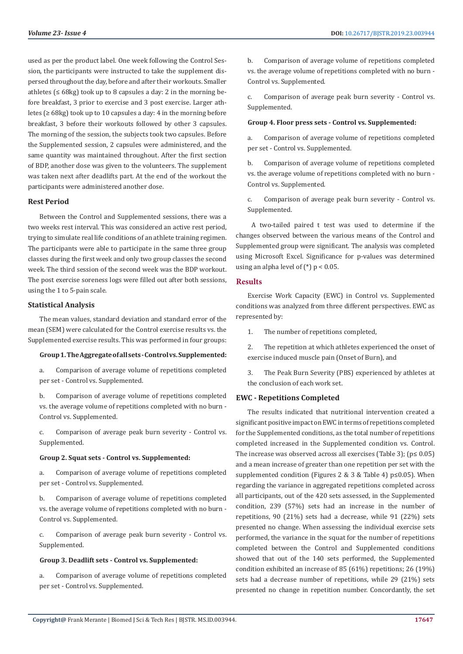used as per the product label. One week following the Control Session, the participants were instructed to take the supplement dispersed throughout the day, before and after their workouts. Smaller athletes  $( \leq 68 \text{ kg})$  took up to 8 capsules a day: 2 in the morning before breakfast, 3 prior to exercise and 3 post exercise. Larger athletes ( $\geq 68$ kg) took up to 10 capsules a day: 4 in the morning before breakfast, 3 before their workouts followed by other 3 capsules. The morning of the session, the subjects took two capsules. Before the Supplemented session, 2 capsules were administered, and the same quantity was maintained throughout. After the first section of BDP, another dose was given to the volunteers. The supplement was taken next after deadlifts part. At the end of the workout the participants were administered another dose.

## **Rest Period**

Between the Control and Supplemented sessions, there was a two weeks rest interval. This was considered an active rest period, trying to simulate real life conditions of an athlete training regimen. The participants were able to participate in the same three group classes during the first week and only two group classes the second week. The third session of the second week was the BDP workout. The post exercise soreness logs were filled out after both sessions, using the 1 to 5-pain scale.

## **Statistical Analysis**

The mean values, standard deviation and standard error of the mean (SEM) were calculated for the Control exercise results vs. the Supplemented exercise results. This was performed in four groups:

## **Group 1. The Aggregate of all sets - Control vs. Supplemented:**

a. Comparison of average volume of repetitions completed per set - Control vs. Supplemented.

b. Comparison of average volume of repetitions completed vs. the average volume of repetitions completed with no burn - Control vs. Supplemented.

c. Comparison of average peak burn severity - Control vs. Supplemented.

#### **Group 2. Squat sets - Control vs. Supplemented:**

a. Comparison of average volume of repetitions completed per set - Control vs. Supplemented.

b. Comparison of average volume of repetitions completed vs. the average volume of repetitions completed with no burn - Control vs. Supplemented.

c. Comparison of average peak burn severity - Control vs. Supplemented.

#### **Group 3. Deadlift sets - Control vs. Supplemented:**

a. Comparison of average volume of repetitions completed per set - Control vs. Supplemented.

b. Comparison of average volume of repetitions completed vs. the average volume of repetitions completed with no burn - Control vs. Supplemented.

c. Comparison of average peak burn severity - Control vs. Supplemented.

#### **Group 4. Floor press sets - Control vs. Supplemented:**

a. Comparison of average volume of repetitions completed per set - Control vs. Supplemented.

b. Comparison of average volume of repetitions completed vs. the average volume of repetitions completed with no burn - Control vs. Supplemented.

c. Comparison of average peak burn severity - Control vs. Supplemented.

 A two-tailed paired t test was used to determine if the changes observed between the various means of the Control and Supplemented group were significant. The analysis was completed using Microsoft Excel. Significance for p-values was determined using an alpha level of  $(*)$  p < 0.05.

#### **Results**

Exercise Work Capacity (EWC) in Control vs. Supplemented conditions was analyzed from three different perspectives. EWC as represented by:

1. The number of repetitions completed,

2. The repetition at which athletes experienced the onset of exercise induced muscle pain (Onset of Burn), and

3. The Peak Burn Severity (PBS) experienced by athletes at the conclusion of each work set.

## **EWC - Repetitions Completed**

The results indicated that nutritional intervention created a significant positive impact on EWC in terms of repetitions completed for the Supplemented conditions, as the total number of repetitions completed increased in the Supplemented condition vs. Control. The increase was observed across all exercises (Table 3);  $(p \le 0.05)$ and a mean increase of greater than one repetition per set with the supplemented condition (Figures 2 & 3 & Table 4) p≤0.05). When regarding the variance in aggregated repetitions completed across all participants, out of the 420 sets assessed, in the Supplemented condition, 239 (57%) sets had an increase in the number of repetitions, 90 (21%) sets had a decrease, while 91 (22%) sets presented no change. When assessing the individual exercise sets performed, the variance in the squat for the number of repetitions completed between the Control and Supplemented conditions showed that out of the 140 sets performed, the Supplemented condition exhibited an increase of 85 (61%) repetitions; 26 (19%) sets had a decrease number of repetitions, while 29 (21%) sets presented no change in repetition number. Concordantly, the set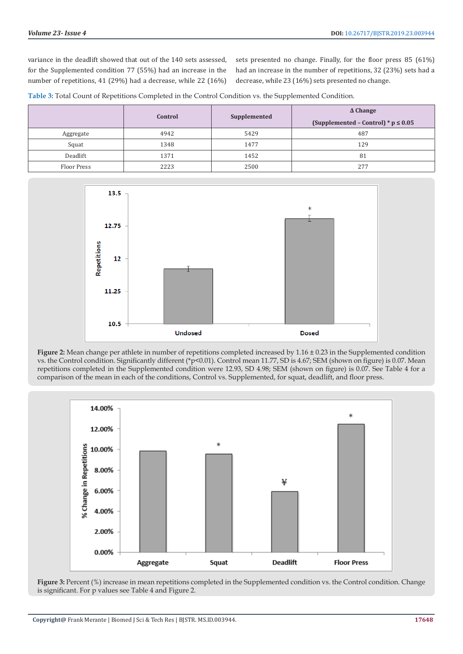variance in the deadlift showed that out of the 140 sets assessed, for the Supplemented condition 77 (55%) had an increase in the number of repetitions, 41 (29%) had a decrease, while 22 (16%)

sets presented no change. Finally, for the floor press 85 (61%) had an increase in the number of repetitions, 32 (23%) sets had a decrease, while 23 (16%) sets presented no change.

|  |  | Table 3: Total Count of Repetitions Completed in the Control Condition vs. the Supplemented Condition. |
|--|--|--------------------------------------------------------------------------------------------------------|
|--|--|--------------------------------------------------------------------------------------------------------|

|                    | Control | Supplemented | $\Delta$ Change<br>(Supplemented - Control) * $p \le 0.05$ |
|--------------------|---------|--------------|------------------------------------------------------------|
| Aggregate          | 4942    | 5429         | 487                                                        |
| Squat              | 1348    | 1477         | 129                                                        |
| Deadlift           | 1371    | 1452         | 81                                                         |
| <b>Floor Press</b> | 2223    | 2500         | 277                                                        |



**Figure 2:** Mean change per athlete in number of repetitions completed increased by 1.16 ± 0.23 in the Supplemented condition vs. the Control condition. Significantly different (\*p<0.01). Control mean 11.77, SD is 4.67; SEM (shown on figure) is 0.07. Mean repetitions completed in the Supplemented condition were 12.93, SD 4.98; SEM (shown on figure) is 0.07. See Table 4 for a comparison of the mean in each of the conditions, Control vs. Supplemented, for squat, deadlift, and floor press.



**Figure 3:** Percent (%) increase in mean repetitions completed in the Supplemented condition vs. the Control condition. Change is significant. For p values see Table 4 and Figure 2.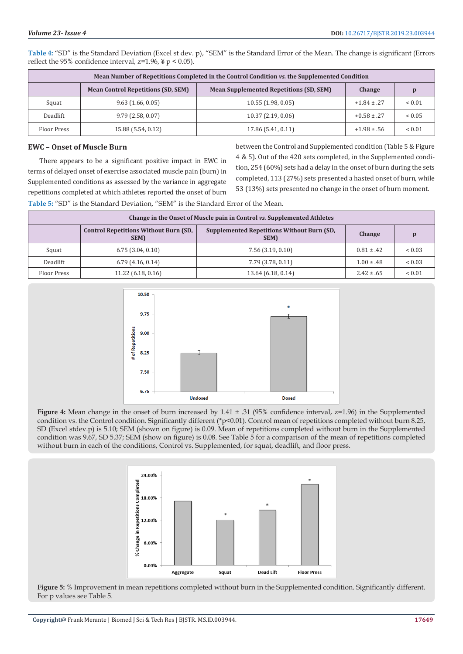|             |                                           | Mean Number of Repetitions Completed in the Control Condition vs. the Supplemented Condition |                 |             |
|-------------|-------------------------------------------|----------------------------------------------------------------------------------------------|-----------------|-------------|
|             | <b>Mean Control Repetitions (SD, SEM)</b> | <b>Mean Supplemented Repetitions (SD, SEM)</b>                                               | Change          |             |
| Squat       | 9.63(1.66, 0.05)                          | 10.55(1.98, 0.05)                                                                            | $+1.84 \pm .27$ | ${}< 0.01$  |
| Deadlift    | 9.79(2.58, 0.07)                          | 10.37(2.19, 0.06)                                                                            | $+0.58 \pm .27$ | ${}< 0.05$  |
| Floor Press | 15.88 (5.54, 0.12)                        | 17.86 (5.41, 0.11)                                                                           | $+1.98 \pm .56$ | ${}_{0.01}$ |

**Table 4:** "SD" is the Standard Deviation (Excel st dev. p), "SEM" is the Standard Error of the Mean. The change is significant (Errors reflect the 95% confidence interval,  $z=1.96$ ,  $\frac{1}{2}$  p < 0.05).

## **EWC – Onset of Muscle Burn**

There appears to be a significant positive impact in EWC in terms of delayed onset of exercise associated muscle pain (burn) in Supplemented conditions as assessed by the variance in aggregate repetitions completed at which athletes reported the onset of burn

between the Control and Supplemented condition (Table 5 & Figure 4 & 5). Out of the 420 sets completed, in the Supplemented condition, 254 (60%) sets had a delay in the onset of burn during the sets completed, 113 (27%) sets presented a hasted onset of burn, while 53 (13%) sets presented no change in the onset of burn moment.

**Table 5:** "SD" is the Standard Deviation, "SEM" is the Standard Error of the Mean.

| Change in the Onset of Muscle pain in Control vs. Supplemented Athletes |                                                      |                                                                  |                |             |  |
|-------------------------------------------------------------------------|------------------------------------------------------|------------------------------------------------------------------|----------------|-------------|--|
|                                                                         | <b>Control Repetitions Without Burn (SD,</b><br>SEM) | <b>Supplemented Repetitions Without Burn (SD,</b><br><b>SEM)</b> | Change         |             |  |
| Squat                                                                   | 6.75(3.04, 0.10)                                     | 7.56(3.19, 0.10)                                                 | $0.81 \pm .42$ | ${}_{0.03}$ |  |
| <b>Deadlift</b>                                                         | $6.79$ (4.16, 0.14)                                  | 7.79 (3.78, 0.11)                                                | $1.00 \pm .48$ | ${}< 0.03$  |  |
| Floor Press                                                             | 11.22(6.18, 0.16)                                    | 13.64 (6.18, 0.14)                                               | $2.42 \pm .65$ | < 0.01      |  |



**Figure 4:** Mean change in the onset of burn increased by 1.41  $\pm$  .31 (95% confidence interval, z=1.96) in the Supplemented condition vs. the Control condition. Significantly different (\*p<0.01). Control mean of repetitions completed without burn 8.25, SD (Excel stdev.p) is 5.10; SEM (shown on figure) is 0.09. Mean of repetitions completed without burn in the Supplemented condition was 9.67, SD 5.37; SEM (show on figure) is 0.08. See Table 5 for a comparison of the mean of repetitions completed without burn in each of the conditions, Control vs. Supplemented, for squat, deadlift, and floor press.



**Figure 5:** % Improvement in mean repetitions completed without burn in the Supplemented condition. Significantly different. For p values see Table 5.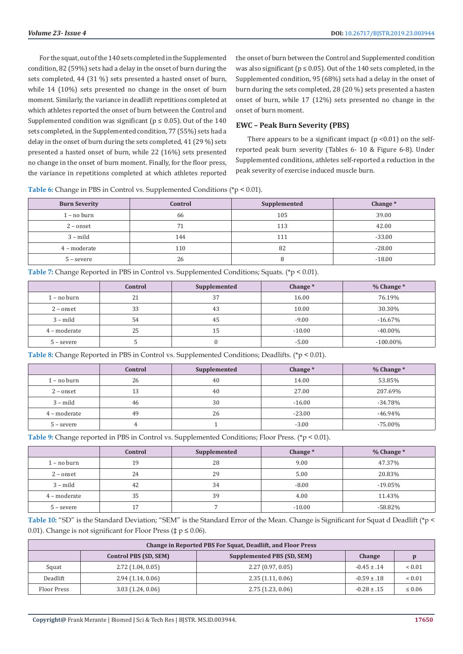For the squat, out of the 140 sets completed in the Supplemented condition, 82 (59%) sets had a delay in the onset of burn during the sets completed, 44 (31 %) sets presented a hasted onset of burn, while 14 (10%) sets presented no change in the onset of burn moment. Similarly, the variance in deadlift repetitions completed at which athletes reported the onset of burn between the Control and Supplemented condition was significant ( $p \le 0.05$ ). Out of the 140 sets completed, in the Supplemented condition, 77 (55%) sets had a delay in the onset of burn during the sets completed, 41 (29 %) sets presented a hasted onset of burn, while 22 (16%) sets presented no change in the onset of burn moment. Finally, for the floor press, the variance in repetitions completed at which athletes reported

the onset of burn between the Control and Supplemented condition was also significant ( $p \le 0.05$ ). Out of the 140 sets completed, in the Supplemented condition, 95 (68%) sets had a delay in the onset of burn during the sets completed, 28 (20 %) sets presented a hasten onset of burn, while 17 (12%) sets presented no change in the onset of burn moment.

# **EWC – Peak Burn Severity (PBS)**

There appears to be a significant impact ( $p$  <0.01) on the selfreported peak burn severity (Tables 6- 10 & Figure 6-8). Under Supplemented conditions, athletes self-reported a reduction in the peak severity of exercise induced muscle burn.

**Table 6:** Change in PBS in Control vs. Supplemented Conditions (\*p < 0.01).

| <b>Burn Severity</b> | Control | Supplemented | Change $*$ |
|----------------------|---------|--------------|------------|
| $1 - no burn$        | 66      | 105          | 39.00      |
| $2$ – onset          | 71      | 113          | 42.00      |
| $3 - \text{mild}$    | 144     | 111          | $-33.00$   |
| 4 - moderate         | 110     | 82           | $-28.00$   |
| $5 - severe$         | 26      | ŏ            | $-18.00$   |

**Table 7:** Change Reported in PBS in Control vs. Supplemented Conditions; Squats. (\*p < 0.01).

|               | Control | Supplemented | Change*  | $%$ Change $*$ |
|---------------|---------|--------------|----------|----------------|
| $1 - no burn$ | 21      | 37           | 16.00    | 76.19%         |
| $2$ – onset   | 33      | 43           | 10.00    | 30.30%         |
| $3 - mild$    | 54      | 45           | $-9.00$  | $-16.67\%$     |
| 4 – moderate  | 25      | 15           | $-10.00$ | $-40.00\%$     |
| $5 - severe$  |         |              | $-5.00$  | $-100.00\%$    |

**Table 8:** Change Reported in PBS in Control vs. Supplemented Conditions; Deadlifts. (\*p < 0.01).

|               | Control | Supplemented | Change $*$ | $%$ Change $*$ |
|---------------|---------|--------------|------------|----------------|
| $1 - no burn$ | 26      | 40           | 14.00      | 53.85%         |
| $2$ – onset   | 13      | 40           | 27.00      | 207.69%        |
| $3 - mild$    | 46      | 30           | $-16.00$   | $-34.78%$      |
| 4 – moderate  | 49      | 26           | $-23.00$   | $-46.94%$      |
| $5 - severe$  | Д,      |              | $-3.00$    | $-75.00\%$     |

**Table 9:** Change reported in PBS in Control vs. Supplemented Conditions; Floor Press. (\*p < 0.01).

|               | Control | Supplemented | Change*  | $%$ Change $*$ |
|---------------|---------|--------------|----------|----------------|
| $1 - no burn$ | 19      | 28           | 9.00     | 47.37%         |
| $2$ – onset   | 24      | 29           | 5.00     | 20.83%         |
| $3 - mild$    | 42      | 34           | $-8.00$  | $-19.05%$      |
| 4 – moderate  | 35      | 39           | 4.00     | 11.43%         |
| $5 - severe$  | 17      |              | $-10.00$ | $-58.82%$      |

**Table 10:** "SD" is the Standard Deviation; "SEM" is the Standard Error of the Mean. Change is Significant for Squat d Deadlift (\*p < 0.01). Change is not significant for Floor Press ( $\ddagger$  p  $\leq$  0.06).

| Change in Reported PBS For Squat, Deadlift, and Floor Press |                                                                      |                  |                 |             |  |
|-------------------------------------------------------------|----------------------------------------------------------------------|------------------|-----------------|-------------|--|
|                                                             | <b>Supplemented PBS (SD, SEM)</b><br>Control PBS (SD, SEM)<br>Change |                  |                 |             |  |
| Squat                                                       | $2.72$ (1.04, 0.05)                                                  | 2.27(0.97, 0.05) | $-0.45 \pm .14$ | ${}< 0.01$  |  |
| Deadlift                                                    | 2.94(1.14, 0.06)                                                     | 2.35(1.11, 0.06) | $-0.59 \pm .18$ | ${}< 0.01$  |  |
| Floor Press                                                 | 3.03(1.24, 0.06)                                                     | 2.75(1.23, 0.06) | $-0.28 \pm .15$ | $\leq 0.06$ |  |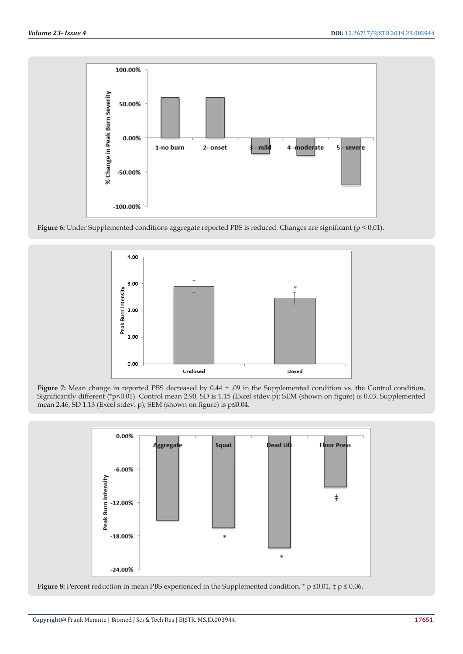

Figure 6: Under Supplemented conditions aggregate reported PBS is reduced. Changes are significant (p < 0.01).



**Figure 7:** Mean change in reported PBS decreased by 0.44 ± .09 in the Supplemented condition vs. the Control condition. Significantly different (\*p<0.01). Control mean 2.90, SD is 1.15 (Excel stdev.p); SEM (shown on figure) is 0.03. Supplemented mean 2.46, SD 1.13 (Excel stdev. p); SEM (shown on figure) is p≤0.04.



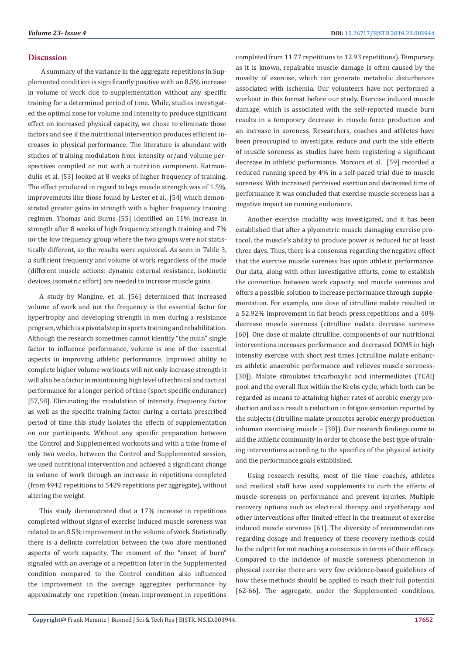# **Discussion**

 A summary of the variance in the aggregate repetitions in Supplemented condition is significantly positive with an 8.5% increase in volume of work due to supplementation without any specific training for a determined period of time. While, studies investigated the optimal zone for volume and intensity to produce significant effect on increased physical capacity, we chose to eliminate those factors and see if the nutritional intervention produces efficient increases in physical performance. The literature is abundant with studies of training modulation from intensity or/and volume perspectives compiled or not with a nutrition component. Katmandulis et al. [53] looked at 8 weeks of higher frequency of training. The effect produced in regard to legs muscle strength was of 1.5%, improvements like those found by Lester et al., [54] which demonstrated greater gains in strength with a higher frequency training regimen. Thomas and Burns [55] identified an 11% increase in strength after 8 weeks of high frequency strength training and 7% for the low frequency group where the two groups were not statistically different, so the results were equivocal. As seen in Table 3, a sufficient frequency and volume of work regardless of the mode (different muscle actions: dynamic external resistance, isokinetic devices, isometric effort) are needed to increase muscle gains.

A study by Mangine, et. al. [56] determined that increased volume of work and not the frequency is the essential factor for hypertrophy and developing strength in men during a resistance program, which is a pivotal step in sports training and rehabilitation. Although the research sometimes cannot identify "the main" single factor to influence performance, volume is one of the essential aspects in improving athletic performance. Improved ability to complete higher volume workouts will not only increase strength it will also be a factor in maintaining high level of technical and tactical performance for a longer period of time (sport specific endurance) [57,58]. Eliminating the modulation of intensity, frequency factor as well as the specific training factor during a certain prescribed period of time this study isolates the effects of supplementation on our participants. Without any specific preparation between the Control and Supplemented workouts and with a time frame of only two weeks, between the Control and Supplemented session, we used nutritional intervention and achieved a significant change in volume of work through an increase in repetitions completed (from 4942 repetitions to 5429 repetitions per aggregate), without altering the weight.

This study demonstrated that a 17% increase in repetitions completed without signs of exercise induced muscle soreness was related to an 8.5% improvement in the volume of work. Statistically there is a definite correlation between the two afore mentioned aspects of work capacity. The moment of the "onset of burn" signaled with an average of a repetition later in the Supplemented condition compared to the Control condition also influenced the improvement in the average aggregates performance by approximately one repetition (mean improvement in repetitions completed from 11.77 repetitions to 12.93 repetitions). Temporary, as it is known, repairable muscle damage is often caused by the novelty of exercise, which can generate metabolic disturbances associated with ischemia. Our volunteers have not performed a workout in this format before our study. Exercise induced muscle damage, which is associated with the self-reported muscle burn results in a temporary decrease in muscle force production and an increase in soreness. Researchers, coaches and athletes have been preoccupied to investigate, reduce and curb the side effects of muscle soreness as studies have been registering a significant decrease in athletic performance. Marcora et al. [59] recorded a reduced running speed by 4% in a self-paced trial due to muscle soreness. With increased perceived exertion and decreased time of performance it was concluded that exercise muscle soreness has a negative impact on running endurance.

Another exercise modality was investigated, and it has been established that after a plyometric muscle damaging exercise protocol, the muscle's ability to produce power is reduced for at least three days. Thus, there is a consensus regarding the negative effect that the exercise muscle soreness has upon athletic performance. Our data, along with other investigative efforts, come to establish the connection between work capacity and muscle soreness and offers a possible solution to increase performance through supplementation. For example, one dose of citrulline malate resulted in a 52.92% improvement in flat bench press repetitions and a 40% decrease muscle soreness (citrulline malate decrease soreness [60]. One dose of malate citrulline, components of our nutritional interventions increases performance and decreased DOMS in high intensity exercise with short rest times (citrulline malate enhances athletic anaerobic performance and relieves muscle soreness- [30]). Malate stimulates tricarboxylic acid intermediates (TCAI) pool and the overall flux within the Krebs cycle, which both can be regarded as means to attaining higher rates of aerobic energy production and as a result a reduction in fatigue sensation reported by the subjects (citrulline malate promotes aerobic energy production inhuman exercising muscle – [30]). Our research findings come to aid the athletic community in order to choose the best type of training interventions according to the specifics of the physical activity and the performance goals established.

Using research results, most of the time coaches, athletes and medical staff have used supplements to curb the effects of muscle soreness on performance and prevent injuries. Multiple recovery options such as electrical therapy and cryotherapy and other interventions offer limited effect in the treatment of exercise induced muscle soreness [61]. The diversity of recommendations regarding dosage and frequency of these recovery methods could be the culprit for not reaching a consensus in terms of their efficacy. Compared to the incidence of muscle soreness phenomenon in physical exercise there are very few evidence-based guidelines of how these methods should be applied to reach their full potential [62-66]. The aggregate, under the Supplemented conditions,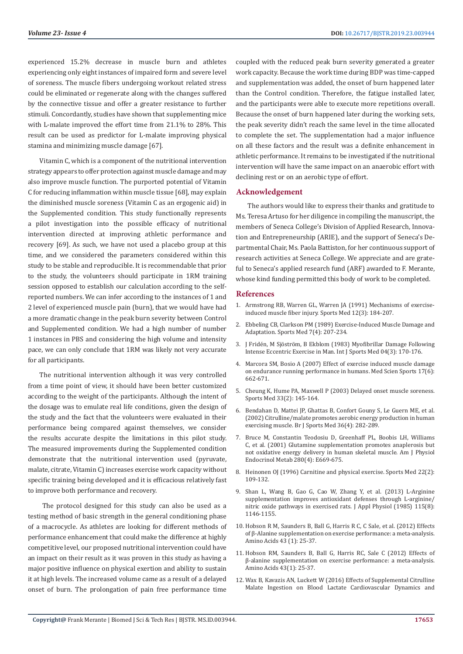experienced 15.2% decrease in muscle burn and athletes experiencing only eight instances of impaired form and severe level of soreness. The muscle fibers undergoing workout related stress could be eliminated or regenerate along with the changes suffered by the connective tissue and offer a greater resistance to further stimuli. Concordantly, studies have shown that supplementing mice with L-malate improved the effort time from 21.1% to 28%. This result can be used as predictor for L-malate improving physical stamina and minimizing muscle damage [67].

Vitamin C, which is a component of the nutritional intervention strategy appears to offer protection against muscle damage and may also improve muscle function. The purported potential of Vitamin C for reducing inflammation within muscle tissue [68], may explain the diminished muscle soreness (Vitamin C as an ergogenic aid) in the Supplemented condition. This study functionally represents a pilot investigation into the possible efficacy of nutritional intervention directed at improving athletic performance and recovery [69]. As such, we have not used a placebo group at this time, and we considered the parameters considered within this study to be stable and reproducible. It is recommendable that prior to the study, the volunteers should participate in 1RM training session opposed to establish our calculation according to the selfreported numbers. We can infer according to the instances of 1 and 2 level of experienced muscle pain (burn), that we would have had a more dramatic change in the peak burn severity between Control and Supplemented condition. We had a high number of number 1 instances in PBS and considering the high volume and intensity pace, we can only conclude that 1RM was likely not very accurate for all participants.

The nutritional intervention although it was very controlled from a time point of view, it should have been better customized according to the weight of the participants. Although the intent of the dosage was to emulate real life conditions, given the design of the study and the fact that the volunteers were evaluated in their performance being compared against themselves, we consider the results accurate despite the limitations in this pilot study. The measured improvements during the Supplemented condition demonstrate that the nutritional intervention used (pyruvate, malate, citrate, Vitamin C) increases exercise work capacity without specific training being developed and it is efficacious relatively fast to improve both performance and recovery.

 The protocol designed for this study can also be used as a testing method of basic strength in the general conditioning phase of a macrocycle. As athletes are looking for different methods of performance enhancement that could make the difference at highly competitive level, our proposed nutritional intervention could have an impact on their result as it was proven in this study as having a major positive influence on physical exertion and ability to sustain it at high levels. The increased volume came as a result of a delayed onset of burn. The prolongation of pain free performance time

coupled with the reduced peak burn severity generated a greater work capacity. Because the work time during BDP was time-capped and supplementation was added, the onset of burn happened later than the Control condition. Therefore, the fatigue installed later, and the participants were able to execute more repetitions overall. Because the onset of burn happened later during the working sets, the peak severity didn't reach the same level in the time allocated to complete the set. The supplementation had a major influence on all these factors and the result was a definite enhancement in athletic performance. It remains to be investigated if the nutritional intervention will have the same impact on an anaerobic effort with declining rest or on an aerobic type of effort.

## **Acknowledgement**

The authors would like to express their thanks and gratitude to Ms. Teresa Artuso for her diligence in compiling the manuscript, the members of Seneca College's Division of Applied Research, Innovation and Entrepreneurship (ARIE), and the support of Seneca's Departmental Chair, Ms. Paola Battiston, for her continuous support of research activities at Seneca College. We appreciate and are grateful to Seneca's applied research fund (ARF) awarded to F. Merante, whose kind funding permitted this body of work to be completed.

## **References**

- 1. [Armstrong RB, Warren GL, Warren JA \(1991\) Mechanisms of exercise](https://www.ncbi.nlm.nih.gov/pubmed/1784873)[induced muscle fiber injury. Sports Med 12\(3\): 184-207](https://www.ncbi.nlm.nih.gov/pubmed/1784873).
- 2. [Ebbeling CB, Clarkson PM \(1989\) Exercise-Induced Muscle Damage and](https://www.ncbi.nlm.nih.gov/pubmed/2657962) [Adaptation. Sports Med 7\(4\): 207-234.](https://www.ncbi.nlm.nih.gov/pubmed/2657962)
- 3. J Frid[én, M Sjöström, B Ekblom \(1983\) Myofibrillar Damage Following](https://www.ncbi.nlm.nih.gov/pubmed/6629599) [Intense Eccentric Exercise in Man. Int J Sports Med 04\(3\): 170-176](https://www.ncbi.nlm.nih.gov/pubmed/6629599).
- 4. [Marcora SM, Bosio A \(2007\) Effect of exercise induced muscle damage](https://www.ncbi.nlm.nih.gov/pubmed/17346288) [on endurance running performance in humans. Med Scien Sports 17\(6\):](https://www.ncbi.nlm.nih.gov/pubmed/17346288) [662-671.](https://www.ncbi.nlm.nih.gov/pubmed/17346288)
- 5. Cheung K, Hume PA, Maxwell P (2003) Delayed onset muscle soreness. Sports Med 33(2): 145-164.
- 6. [Bendahan D, Mattei JP, Ghattas B, Confort Gouny S, Le Guern ME, et al.](https://www.ncbi.nlm.nih.gov/pubmed/12145119) [\(2002\) Citrulline/malate promotes aerobic energy production in human](https://www.ncbi.nlm.nih.gov/pubmed/12145119) [exercising muscle. Br J Sports Med 36\(4\): 282-289.](https://www.ncbi.nlm.nih.gov/pubmed/12145119)
- 7. [Bruce M, Constantin Teodosiu D, Greenhaff PL, Boobis LH, Williams](https://www.ncbi.nlm.nih.gov/pubmed/11254475) [C, et al. \(2001\) Glutamine supplementation promotes anaplerosis but](https://www.ncbi.nlm.nih.gov/pubmed/11254475) [not oxidative energy delivery in human skeletal muscle. Am J Physiol](https://www.ncbi.nlm.nih.gov/pubmed/11254475) [Endocrinol Metab 280\(4\): E669-675.](https://www.ncbi.nlm.nih.gov/pubmed/11254475)
- 8. [Heinonen OJ \(1996\) Carnitine and physical exercise. Sports Med 22\(2\):](https://www.ncbi.nlm.nih.gov/pubmed/8857706) [109-132.](https://www.ncbi.nlm.nih.gov/pubmed/8857706)
- 9. [Shan L, Wang B, Gao G, Cao W, Zhang Y, et al. \(2013\) L-Arginine](https://www.ncbi.nlm.nih.gov/pubmed/23950164) [supplementation improves antioxidant defenses through L-arginine/](https://www.ncbi.nlm.nih.gov/pubmed/23950164) [nitric oxide pathways in exercised rats. J Appl Physiol \(1985\) 115\(8\):](https://www.ncbi.nlm.nih.gov/pubmed/23950164) [1146-1155.](https://www.ncbi.nlm.nih.gov/pubmed/23950164)
- 10. [Hobson R M, Saunders B, Ball G, Harris R C, C Sale, et al. \(2012\) Effects](https://www.ncbi.nlm.nih.gov/pubmed/22270875) [of β-Alanine supplementation on exercise performance: a meta-analysis.](https://www.ncbi.nlm.nih.gov/pubmed/22270875) [Amino Acids 43 \(1\): 25-37.](https://www.ncbi.nlm.nih.gov/pubmed/22270875)
- 11. [Hobson RM, Saunders B, Ball G, Harris RC, Sale C \(2012\) Effects of](https://www.ncbi.nlm.nih.gov/pmc/articles/PMC3374095/) [β-alanine supplementation on exercise performance: a meta-analysis.](https://www.ncbi.nlm.nih.gov/pmc/articles/PMC3374095/) [Amino Acids 43\(1\): 25-37.](https://www.ncbi.nlm.nih.gov/pmc/articles/PMC3374095/)
- 12. [Wax B, Kavazis AN, Luckett W \(2016\) Effects of Supplemental Citrulline](https://www.ncbi.nlm.nih.gov/pubmed/25674699) [Malate Ingestion on Blood Lactate Cardiovascular Dynamics and](https://www.ncbi.nlm.nih.gov/pubmed/25674699)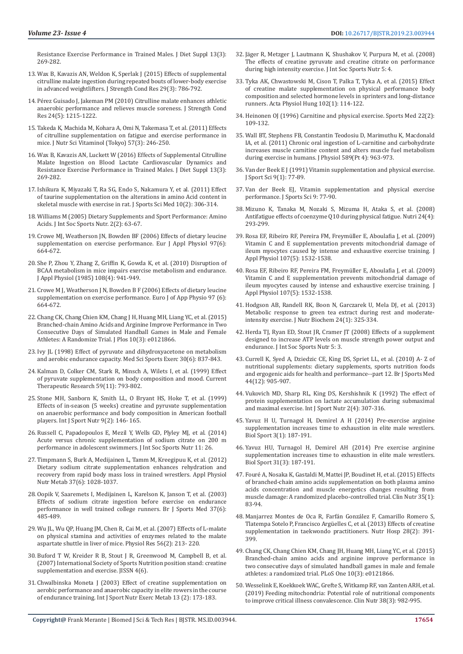[Resistance Exercise Performance in Trained Males. J Diet Suppl 13\(3\):](https://www.ncbi.nlm.nih.gov/pubmed/25674699)  [269-282.](https://www.ncbi.nlm.nih.gov/pubmed/25674699)

- 13. [Wax B, Kavazis AN, Weldon K, Sperlak J \(2015\) Effects of supplemental](https://www.ncbi.nlm.nih.gov/pubmed/25226311)  [citrulline malate ingestion during repeated bouts of lower-body exercise](https://www.ncbi.nlm.nih.gov/pubmed/25226311)  [in advanced weightlifters. J Strength Cond Res 29\(3\): 786-792.](https://www.ncbi.nlm.nih.gov/pubmed/25226311)
- 14. [Pérez Guisado J, Jakeman PM \(2010\) Citrulline malate enhances athletic](https://www.ncbi.nlm.nih.gov/pubmed/20386132)  [anaerobic performance and relieves muscle soreness. J Strength Cond](https://www.ncbi.nlm.nih.gov/pubmed/20386132)  [Res 24\(5\): 1215-1222.](https://www.ncbi.nlm.nih.gov/pubmed/20386132)
- 15. [Takeda K, Machida M, Kohara A, Omi N, Takemasa T, et al. \(2011\) Effects](https://www.ncbi.nlm.nih.gov/pubmed/21908948)  [of citrulline supplementation on fatigue and exercise performance in](https://www.ncbi.nlm.nih.gov/pubmed/21908948)  [mice. J Nutr Sci Vitaminol \(Tokyo\) 57\(3\): 246-250.](https://www.ncbi.nlm.nih.gov/pubmed/21908948)
- 16. [Wax B, Kavazis AN, Luckett W \(2016\) Effects of Supplemental Citrulline](https://www.ncbi.nlm.nih.gov/pubmed/25674699)  [Malate Ingestion on Blood Lactate Cardiovascular Dynamics and](https://www.ncbi.nlm.nih.gov/pubmed/25674699)  [Resistance Exercise Performance in Trained Males. J Diet Suppl 13\(3\):](https://www.ncbi.nlm.nih.gov/pubmed/25674699)  [269-282.](https://www.ncbi.nlm.nih.gov/pubmed/25674699)
- 17. [Ishikura K, Miyazaki T, Ra SG, Endo S, Nakamura Y, et al. \(2011\) Effect](https://www.ncbi.nlm.nih.gov/pubmed/24149876)  [of taurine supplementation on the alterations in amino Acid content in](https://www.ncbi.nlm.nih.gov/pubmed/24149876)  [skeletal muscle with exercise in rat. J Sports Sci Med 10\(2\): 306-314.](https://www.ncbi.nlm.nih.gov/pubmed/24149876)
- 18. [Williams M \(2005\) Dietary Supplements and Sport Performance: Amino](https://www.ncbi.nlm.nih.gov/pmc/articles/PMC2129148/)  [Acids. J Int Soc Sports Nutr. 2\(2\): 63-67.](https://www.ncbi.nlm.nih.gov/pmc/articles/PMC2129148/)
- 19. [Crowe MJ, Weatherson JN, Bowden BF \(2006\) Effects of dietary leucine](https://www.ncbi.nlm.nih.gov/pubmed/16265600)  [supplementation on exercise performance. Eur J Appl Physiol 97\(6\):](https://www.ncbi.nlm.nih.gov/pubmed/16265600)  [664-672.](https://www.ncbi.nlm.nih.gov/pubmed/16265600)
- 20. [She P, Zhou Y, Zhang Z, Griffin K, Gowda K, et al. \(2010\) Disruption of](https://www.ncbi.nlm.nih.gov/pubmed/20133434)  [BCAA metabolism in mice impairs exercise metabolism and endurance.](https://www.ncbi.nlm.nih.gov/pubmed/20133434)  [J Appl Physiol \(1985\) 108\(4\): 941-949.](https://www.ncbi.nlm.nih.gov/pubmed/20133434)
- 21. [Crowe M J, Weatherson J N, Bowden B F \(2006\) Effects of dietary leucine](https://www.ncbi.nlm.nih.gov/pubmed/16265600)  [supplementation on exercise performance. Euro J of App Physio 97 \(6\):](https://www.ncbi.nlm.nih.gov/pubmed/16265600)  [664-672.](https://www.ncbi.nlm.nih.gov/pubmed/16265600)
- 22. [Chang CK, Chang Chien KM, Chang J H, Huang MH, Liang YC, et al. \(2015\)](https://www.ncbi.nlm.nih.gov/pubmed/25803783)  [Branched-chain Amino Acids and Arginine Improve Performance in Two](https://www.ncbi.nlm.nih.gov/pubmed/25803783)  [Consecutive Days of Simulated Handball Games in Male and Female](https://www.ncbi.nlm.nih.gov/pubmed/25803783)  [Athletes: A Randomize Trial. J Plos 10\(3\): e0121866.](https://www.ncbi.nlm.nih.gov/pubmed/25803783)
- 23. [Ivy JL \(1998\) Effect of pyruvate and dihydroxyacetone on metabolism](https://www.ncbi.nlm.nih.gov/pubmed/9624640)  [and aerobic endurance capacity. Med Sci Sports Exerc 30\(6\): 837-843.](https://www.ncbi.nlm.nih.gov/pubmed/9624640)
- 24. Kalman D, Colker CM, Stark R, Minsch A, Wilets I, et al. (1999) Effect of pyruvate supplementation on body composition and mood. Current Therapeutic Research 59(11): 793-802.
- 25. [Stone MH, Sanborn K, Smith LL, O Bryant HS, Hoke T, et al. \(1999\)](https://www.ncbi.nlm.nih.gov/pubmed/10362452)  [Effects of in-season \(5 weeks\) creatine and pyruvate supplementation](https://www.ncbi.nlm.nih.gov/pubmed/10362452)  [on anaerobic performance and body composition in American football](https://www.ncbi.nlm.nih.gov/pubmed/10362452)  [players. Int J Sport Nutr 9\(2\): 146- 165.](https://www.ncbi.nlm.nih.gov/pubmed/10362452)
- 26. [Russell C, Papadopoulos E, Mezil Y, Wells GD, Plyley MJ, et al. \(2014\)](https://www.ncbi.nlm.nih.gov/pubmed/24944546)  [Acute versus chronic supplementation of sodium citrate on 200 m](https://www.ncbi.nlm.nih.gov/pubmed/24944546)  [performance in adolescent swimmers. J Int Soc Sports Nutr 11: 26.](https://www.ncbi.nlm.nih.gov/pubmed/24944546)
- 27. [Timpmann S, Burk A, Medijainen L, Tamm M, Kreegipuu K, et al. \(2012\)](https://www.ncbi.nlm.nih.gov/pubmed/22871128)  [Dietary sodium citrate supplementation enhances rehydration and](https://www.ncbi.nlm.nih.gov/pubmed/22871128)  [recovery from rapid body mass loss in trained wrestlers. Appl Physiol](https://www.ncbi.nlm.nih.gov/pubmed/22871128)  [Nutr Metab 37\(6\): 1028-1037.](https://www.ncbi.nlm.nih.gov/pubmed/22871128)
- 28. [Oopik V, Saaremets I, Medijainen L, Karelson K, Janson T, et al. \(2003\)](https://www.ncbi.nlm.nih.gov/pubmed/14665584)  [Effects of sodium citrate ingestion before exercise on endurance](https://www.ncbi.nlm.nih.gov/pubmed/14665584)  [performance in well trained college runners. Br J Sports Med 37\(6\):](https://www.ncbi.nlm.nih.gov/pubmed/14665584)  [485-489](https://www.ncbi.nlm.nih.gov/pubmed/14665584).
- 29. [Wu JL, Wu QP, Huang JM, Chen R, Cai M, et al. \(2007\) Effects of L-malate](https://www.ncbi.nlm.nih.gov/pubmed/16555951)  [on physical stamina and activities of enzymes related to the malate](https://www.ncbi.nlm.nih.gov/pubmed/16555951)  [aspartate shuttle in liver of mice. Physiol Res 56\(2\): 213- 220.](https://www.ncbi.nlm.nih.gov/pubmed/16555951)
- 30. [Buford T W, Kreider R B, Stout J R, Greenwood M, Campbell B, et al.](https://jissn.biomedcentral.com/articles/10.1186/1550-2783-4-6)  [\(2007\) International Society of Sports Nutrition position stand: creatine](https://jissn.biomedcentral.com/articles/10.1186/1550-2783-4-6)  [supplementation and exercise. JISSN 4\(6\).](https://jissn.biomedcentral.com/articles/10.1186/1550-2783-4-6)
- 31. [Chwalbinska Moneta J \(2003\) Effect of creatine supplementation on](https://www.ncbi.nlm.nih.gov/pubmed/12945828)  [aerobic performance and anaerobic capacity in elite rowers in the course](https://www.ncbi.nlm.nih.gov/pubmed/12945828)  [of endurance training. Int J Sport Nutr Exerc Metab 13 \(2\): 173-183.](https://www.ncbi.nlm.nih.gov/pubmed/12945828)
	- **Copyright@** Frank Merante | Biomed J Sci & Tech Res | BJSTR. MS.ID.003944.
- 32. [Jäger R, Metzger J, Lautmann K, Shushakov V, Purpura M, et al. \(2008\)](https://www.ncbi.nlm.nih.gov/pmc/articles/PMC2276184/) [The effects of creatine pyruvate and creatine citrate on performance](https://www.ncbi.nlm.nih.gov/pmc/articles/PMC2276184/) [during high intensity exercise. J Int Soc Sports Nutr 5: 4.](https://www.ncbi.nlm.nih.gov/pmc/articles/PMC2276184/)
- 33. [Tyka AK, Chwastowski M, Cison T, Palka T, Tyka A, et al. \(2015\) Effect](https://www.ncbi.nlm.nih.gov/pubmed/25804393) [of creatine malate supplementation on physical performance body](https://www.ncbi.nlm.nih.gov/pubmed/25804393) [composition and selected hormone levels in sprinters and long-distance](https://www.ncbi.nlm.nih.gov/pubmed/25804393) [runners. Acta Physiol Hung 102\(1\): 114-122.](https://www.ncbi.nlm.nih.gov/pubmed/25804393)
- 34. [Heinonen OJ \(1996\) Carnitine and physical exercise. Sports Med 22\(2\):](https://www.ncbi.nlm.nih.gov/pubmed/8857706) [109-132.](https://www.ncbi.nlm.nih.gov/pubmed/8857706)
- 35. [Wall BT, Stephens FB, Constantin Teodosiu D, Marimuthu K, Macdonald](https://www.ncbi.nlm.nih.gov/pubmed/21224234) [IA, et al. \(2011\) Chronic oral ingestion of L-carnitine and carbohydrate](https://www.ncbi.nlm.nih.gov/pubmed/21224234) [increases muscle carnitine content and alters muscle fuel metabolism](https://www.ncbi.nlm.nih.gov/pubmed/21224234) [during exercise in humans. J Physiol 589\(Pt 4\): 963-973.](https://www.ncbi.nlm.nih.gov/pubmed/21224234)
- 36. [Van der Beek E J \(1991\) Vitamin supplementation and physical exercise.](https://www.ncbi.nlm.nih.gov/pubmed/1895365) [J Sport Sci 9\(1\): 77-89.](https://www.ncbi.nlm.nih.gov/pubmed/1895365)
- 37. [Van der Beek EJ, Vitamin supplementation and physical exercise](https://www.ncbi.nlm.nih.gov/pubmed/1895365) [performance. J Sports Sci 9: 77-90.](https://www.ncbi.nlm.nih.gov/pubmed/1895365)
- 38. [Mizuno K, Tanaka M, Nozaki S, Mizuma H, Ataka S, et al. \(2008\)](https://www.ncbi.nlm.nih.gov/pubmed/18272335) [Antifatigue effects of coenzyme Q10 during physical fatigue. Nutri 24\(4\):](https://www.ncbi.nlm.nih.gov/pubmed/18272335) [293-299.](https://www.ncbi.nlm.nih.gov/pubmed/18272335)
- 39. [Rosa EF, Ribeiro RF, Pereira FM, Freymüller E, Aboulafia J, et al. \(2009\)](https://www.ncbi.nlm.nih.gov/pubmed/19696358) [Vitamin C and E supplementation prevents mitochondrial damage of](https://www.ncbi.nlm.nih.gov/pubmed/19696358) [ileum myocytes caused by intense and exhaustive exercise training. J](https://www.ncbi.nlm.nih.gov/pubmed/19696358) [Appl Physiol 107\(5\): 1532-1538.](https://www.ncbi.nlm.nih.gov/pubmed/19696358)
- 40. [Rosa EF, Ribeiro RF, Pereira FM, Freym](https://www.ncbi.nlm.nih.gov/pubmed/19696358)üller E, Aboulafia J, et al. (2009) [Vitamin C and E supplementation prevents mitochondrial damage of](https://www.ncbi.nlm.nih.gov/pubmed/19696358) [ileum myocytes caused by intense and exhaustive exercise training. J](https://www.ncbi.nlm.nih.gov/pubmed/19696358) [Appl Physiol 107\(5\): 1532-1538.](https://www.ncbi.nlm.nih.gov/pubmed/19696358)
- 41. [Hodgson AB, Randell RK, Boon N, Garczarek U, Mela DJ, et al. \(2013\)](https://www.ncbi.nlm.nih.gov/pubmed/22974973) [Metabolic response to green tea extract during rest and moderate](https://www.ncbi.nlm.nih.gov/pubmed/22974973)[intensity exercise. J Nutr Biochem 24\(1\): 325-334.](https://www.ncbi.nlm.nih.gov/pubmed/22974973)
- 42. [Herda TJ, Ryan ED, Stout JR, Cramer JT \(2008\) Effects of a supplement](https://jissn.biomedcentral.com/articles/10.1186/1550-2783-5-3) [designed to increase ATP levels on muscle strength power output and](https://jissn.biomedcentral.com/articles/10.1186/1550-2783-5-3) [endurance. J Int Soc Sports Nutr 5: 3.](https://jissn.biomedcentral.com/articles/10.1186/1550-2783-5-3)
- 43. [Currell K, Syed A, Dziedzic CE, King DS, Spriet LL, et al. \(2010\) A- Z of](https://www.ncbi.nlm.nih.gov/pubmed/20858590) [nutritional supplements: dietary supplements, sports nutrition foods](https://www.ncbi.nlm.nih.gov/pubmed/20858590) [and ergogenic aids for health and performance--part 12. Br J Sports Med](https://www.ncbi.nlm.nih.gov/pubmed/20858590) [44\(12\): 905-907.](https://www.ncbi.nlm.nih.gov/pubmed/20858590)
- 44. [Vukovich MD, Sharp RL, King DS, Kershishnik K \(1992\) The effect of](https://www.ncbi.nlm.nih.gov/pubmed/1299500) [protein supplementation on lactate accumulation during submaximal](https://www.ncbi.nlm.nih.gov/pubmed/1299500) [and maximal exercise. Int J Sport Nutr 2\(4\): 307-316.](https://www.ncbi.nlm.nih.gov/pubmed/1299500)
- 45. [Yavuz H U, Turnagol H, Demirel A H \(2014\) Pre-exercise arginine](https://www.ncbi.nlm.nih.gov/pubmed/25177096) [supplementation increases time to exhaustion in elite male wrestlers.](https://www.ncbi.nlm.nih.gov/pubmed/25177096) [Biol Sport 3\(1\): 187-191.](https://www.ncbi.nlm.nih.gov/pubmed/25177096)
- 46. [Yavuz HU, Turnagol H, Demirel AH \(2014\) Pre exercise arginine](https://www.ncbi.nlm.nih.gov/pubmed/25177096) [supplementation increases time to exhaustion in elite male wrestlers.](https://www.ncbi.nlm.nih.gov/pubmed/25177096) [Biol Sport 31\(3\): 187-191.](https://www.ncbi.nlm.nih.gov/pubmed/25177096)
- 47. [Fouré A, Nosaka K, Gastaldi M, Mattei JP, Boudinet H, et al. \(2015\) Effects](https://www.ncbi.nlm.nih.gov/pubmed/25886707) [of branched-chain amino acids supplementation on both plasma amino](https://www.ncbi.nlm.nih.gov/pubmed/25886707) [acids concentration and muscle energetics changes resulting from](https://www.ncbi.nlm.nih.gov/pubmed/25886707) [muscle damage: A randomized placebo-controlled trial. Clin Nutr 35\(1\):](https://www.ncbi.nlm.nih.gov/pubmed/25886707) [83-94.](https://www.ncbi.nlm.nih.gov/pubmed/25886707)
- 48. [Manjarrez Montes de Oca R, Farfán González F, Camarillo Romero S,](https://www.ncbi.nlm.nih.gov/pubmed/23822690) [Tlatempa Sotelo P, Francisco Argüelles C, et al. \(2013\) Effects of creatine](https://www.ncbi.nlm.nih.gov/pubmed/23822690) [supplementation in taekwondo practitioners. Nutr Hosp 28\(2\): 391-](https://www.ncbi.nlm.nih.gov/pubmed/23822690) [399.](https://www.ncbi.nlm.nih.gov/pubmed/23822690)
- 49. [Chang CK, Chang Chien KM, Chang JH, Huang MH, Liang YC, et al. \(2015\)](https://www.ncbi.nlm.nih.gov/pubmed/25803783) [Branched-chain amino acids and arginine improve performance in](https://www.ncbi.nlm.nih.gov/pubmed/25803783) [two consecutive days of simulated handball games in male and female](https://www.ncbi.nlm.nih.gov/pubmed/25803783) [athletes: a randomized trial. PLoS One 10\(3\): e0121866.](https://www.ncbi.nlm.nih.gov/pubmed/25803783)
- 50. [Wesselink E, Koekkoek WAC, Grefte S, Witkamp RF, van Zanten ARH, et al.](https://www.clinicalnutritionjournal.com/article/S0261-5614(18)32426-9/abstract) [\(2019\) Feeding mitochondria: Potential role of nutritional components](https://www.clinicalnutritionjournal.com/article/S0261-5614(18)32426-9/abstract) [to improve critical illness convalescence. Clin Nutr 38\(3\): 982-995.](https://www.clinicalnutritionjournal.com/article/S0261-5614(18)32426-9/abstract)